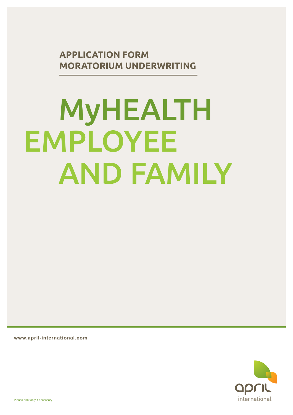**APPLICATION FORM MORATORIUM UNDERWRITING**

# MyHEALTH EMPLOYEE AND FAMILY

**www.april-international.com**

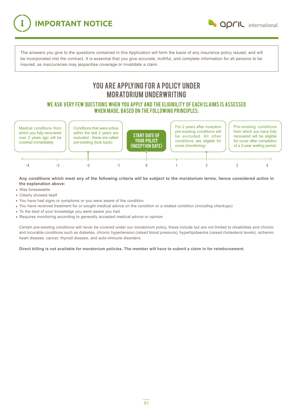**IMPORTANT NOTICE** 

**april** international

The answers you give to the questions contained in this Application will form the basis of any insurance policy issued, and will be incorporated into the contract. It is essential that you give accurate, truthful, and complete information for all persons to be insured, as inaccuracies may jeopardise coverage or invalidate a claim.

## YOU ARE APPLYING FOR A POLICY UNDER MORATORIUM UNDERWRITING

We ask very few questions when you apply and the eligibility oF EACH claims IS assessed when MADE, based on the following principles:



**Any conditions which meet any of the following criteria will be subject to the moratorium terms, hence considered active in the explanation above:**

- Was foreseeable
- Clearly showed itself
- You have had signs or symptoms or you were aware of the condition
- You have received treatment for or sought medical advice on the condition or a related condition (including checkups)
- To the best of your knowledge you were aware you had
- Requires monitoring according to generally accepted medical advice or opinion

Certain pre-existing conditions will never be covered under our moratorium policy, these include but are not limited to disabilities and chronic and incurable conditions such as diabetes, chronic hypertension (raised blood pressure), hyperlipidaemia (raised cholesterol levels), ischemic heart disease, cancer, thyroid disease, and auto-immune disorders.

**Direct billing is not available for moratorium policies. The member will have to submit a claim in for reimbursement.**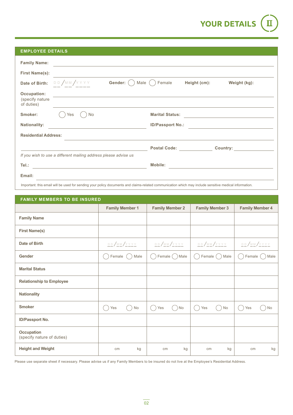

| <b>EMPLOYEE DETAILS</b>                      |                                                                                                                      |                     |                                  |              |                                                                    |
|----------------------------------------------|----------------------------------------------------------------------------------------------------------------------|---------------------|----------------------------------|--------------|--------------------------------------------------------------------|
| <b>Family Name:</b>                          | <u> 1989 - Andrea Station Barbara, actor a contratto della contratta della contratta della contratta dell'Indian</u> |                     |                                  |              |                                                                    |
| <b>First Name(s):</b>                        | <u> 1989 - Johann Barbara, martxa alemaniar a</u>                                                                    |                     |                                  |              |                                                                    |
| Date of Birth:                               | DD/MM/YYYY                                                                                                           | Gender: (<br>Male ( | Female                           | Height (cm): | Weight (kg):                                                       |
| Occupation:<br>(specify nature<br>of duties) | <u> Alexandria de la contrada de la contrada de la contrada de la contrada de la contrada de la contrada de la c</u> |                     |                                  |              |                                                                    |
| Smoker:                                      | Yes<br>No                                                                                                            |                     | <b>Marital Status:</b>           |              | <u> 1980 - Andrea Station Barbara, amerikan personal (h. 1980)</u> |
| <b>Nationality:</b>                          | <u> 1989 - Andrea State Barbara, amerikan per</u>                                                                    |                     |                                  |              |                                                                    |
| <b>Residential Address:</b>                  |                                                                                                                      |                     |                                  |              |                                                                    |
|                                              |                                                                                                                      |                     | <b>Postal Code: Compare 2016</b> |              | <b>Country:</b> the country:                                       |
|                                              | If you wish to use a different mailing address please advise us                                                      |                     |                                  |              |                                                                    |
| Tel.:                                        | <u> 1989 - Johann Stein, fransk politik (d. 1989)</u>                                                                |                     | Mobile:                          |              |                                                                    |
| Email:                                       |                                                                                                                      |                     |                                  |              |                                                                    |

Important: this email will be used for sending your policy documents and claims-related communication which may include sensitive medical information.

| <b>FAMILY MEMBERS TO BE INSURED</b>             |                        |                        |                        |                        |
|-------------------------------------------------|------------------------|------------------------|------------------------|------------------------|
|                                                 | <b>Family Member 1</b> | <b>Family Member 2</b> | <b>Family Member 3</b> | <b>Family Member 4</b> |
| <b>Family Name</b>                              |                        |                        |                        |                        |
| <b>First Name(s)</b>                            |                        |                        |                        |                        |
| Date of Birth                                   | $D D / M M / Y Y Y Y$  | $D D / M M / Y Y Y Y$  | $D D / M M / Y Y Y Y$  | $D D / M M / Y Y Y Y$  |
| Gender                                          | Male<br>Female         | Female () Male<br>H.   | Female (<br>Male<br>h. | Female<br>Male         |
| <b>Marital Status</b>                           |                        |                        |                        |                        |
| <b>Relationship to Employee</b>                 |                        |                        |                        |                        |
| <b>Nationality</b>                              |                        |                        |                        |                        |
| <b>Smoker</b>                                   | No<br>Yes              | Yes<br>No<br>C.        | <b>No</b><br>Yes       | No<br>Yes              |
| ID/Passport No.                                 |                        |                        |                        |                        |
| <b>Occupation</b><br>(specify nature of duties) |                        |                        |                        |                        |
| <b>Height and Weight</b>                        | kg<br>cm               | kg<br>cm               | kg<br>cm               | kg<br>cm               |

Please use separate sheet if necessary. Please advise us if any Family Members to be insured do not live at the Employee's Residential Address.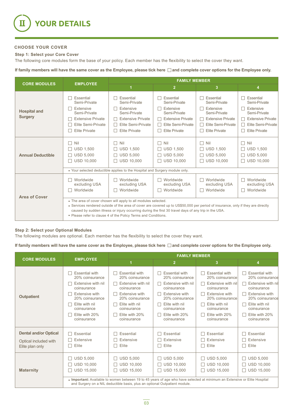

#### **CHOOSE YOUR COVER**

#### **Step 1: Select your Core Cover**

The following core modules form the base of your policy. Each member has the flexibility to select the cover they want.

If family members will have the same cover as the Employee, please tick here  $\Box$  and complete cover options for the Employee only.

|                                       | <b>EMPLOYEE</b>                                                                                                                                                                                                                                                                                                                                                              | <b>FAMILY MEMBER</b>                                                                                                                                                  |                                                                                                                                                                             |                                                                                                                                                  |                                                                                                                                       |  |
|---------------------------------------|------------------------------------------------------------------------------------------------------------------------------------------------------------------------------------------------------------------------------------------------------------------------------------------------------------------------------------------------------------------------------|-----------------------------------------------------------------------------------------------------------------------------------------------------------------------|-----------------------------------------------------------------------------------------------------------------------------------------------------------------------------|--------------------------------------------------------------------------------------------------------------------------------------------------|---------------------------------------------------------------------------------------------------------------------------------------|--|
| <b>CORE MODULES</b>                   |                                                                                                                                                                                                                                                                                                                                                                              | 1                                                                                                                                                                     | $\overline{2}$                                                                                                                                                              | $\overline{3}$                                                                                                                                   | 4                                                                                                                                     |  |
| <b>Hospital and</b><br><b>Surgery</b> | Essential<br>Semi-Private<br>Extensive<br>Semi-Private<br><b>Extensive Private</b><br>Elite Semi-Private<br><b>Elite Private</b>                                                                                                                                                                                                                                             | Essential<br>Semi-Private<br>Extensive<br>Semi-Private<br><b>Extensive Private</b><br>П<br>Elite Semi-Private<br>$\mathsf{L}$<br><b>Elite Private</b>                 | Essential<br>Semi-Private<br>Extensive<br>Semi-Private<br><b>Extensive Private</b><br>П<br>Elite Semi-Private<br>$\Box$<br><b>Elite Private</b><br>$\overline{\phantom{0}}$ | Essential<br>Semi-Private<br>Extensive<br>Semi-Private<br>$\Box$ Extensive Private<br>Elite Semi-Private<br>$\perp$<br><b>Elite Private</b><br>П | Essential<br>Semi-Private<br>Extensive<br>Semi-Private<br><b>Extensive Private</b><br>Elite Semi-Private<br>П<br><b>Elite Private</b> |  |
| <b>Annual Deductible</b>              | Nil<br><b>USD 1,500</b><br><b>USD 5,000</b><br><b>USD 10.000</b>                                                                                                                                                                                                                                                                                                             | Nil<br>П<br><b>USD 1,500</b><br>П<br><b>USD 5,000</b><br>П<br><b>USD 10.000</b><br>I I<br>• Your selected deductible applies to the Hospital and Surgery module only. | Nil<br>П.<br>$\Box$ USD 1,500<br><b>USD 5,000</b><br>┓<br><b>USD 10.000</b><br>П.                                                                                           | $\Box$ Nil<br>$\Box$ USD 1,500<br>$\Box$ USD 5,000<br>$\Box$ USD 10.000                                                                          | Nil<br>$\perp$<br>$\Box$ USD 1,500<br><b>USD 5,000</b><br>$\Box$ USD 10.000                                                           |  |
| <b>Area of Cover</b>                  | Worldwide<br>excluding USA<br>Worldwide                                                                                                                                                                                                                                                                                                                                      | Worldwide<br>H<br>excluding USA<br>Worldwide<br>H                                                                                                                     | $\Box$ Worldwide<br>excluding USA<br>Worldwide<br>П                                                                                                                         | Worldwide<br>$\mathbf{L}$<br>excluding USA<br>Worldwide<br>$\Box$                                                                                | Worldwide<br>$\Box$<br>excluding USA<br>Worldwide<br>$\perp$                                                                          |  |
|                                       | • The area of cover chosen will apply to all modules selected.<br>• Services rendered outside of the area of cover are covered up to US\$50,000 per period of insurance, only if they are directly<br>caused by sudden illness or injury occurring during the first 30 travel days of any trip in the USA.<br>• Please refer to clause 4 of the Policy Terms and Conditions. |                                                                                                                                                                       |                                                                                                                                                                             |                                                                                                                                                  |                                                                                                                                       |  |

#### **Step 2: Select your Optional Modules**

The following modules are optional. Each member has the flexibility to select the cover they want.

If family members will have the same cover as the Employee, please tick here  $\Box$  and complete cover options for the Employee only.

| <b>CORE MODULES</b>                                                      | <b>EMPLOYEE</b>                                                                                                                                                                                                            | <b>FAMILY MEMBER</b>                                                                                                                                                                                                                                                       |                                                                                                                                                                                                           |                                                                                                                                                                                      |                                                                                                                                                                                      |  |
|--------------------------------------------------------------------------|----------------------------------------------------------------------------------------------------------------------------------------------------------------------------------------------------------------------------|----------------------------------------------------------------------------------------------------------------------------------------------------------------------------------------------------------------------------------------------------------------------------|-----------------------------------------------------------------------------------------------------------------------------------------------------------------------------------------------------------|--------------------------------------------------------------------------------------------------------------------------------------------------------------------------------------|--------------------------------------------------------------------------------------------------------------------------------------------------------------------------------------|--|
|                                                                          |                                                                                                                                                                                                                            | 1                                                                                                                                                                                                                                                                          | $\overline{2}$                                                                                                                                                                                            | 3                                                                                                                                                                                    | 4                                                                                                                                                                                    |  |
| <b>Outpatient</b>                                                        | <b>Essential with</b><br>20% coinsurance<br>Extensive with nil<br>coinsurance<br>Extensive with<br>$\mathbf{I}$<br>20% coinsurance<br>Elite with nil<br>$\mathsf{L}$<br>coinsurance<br>Elite with 20%<br>L.<br>coinsurance | <b>Essential with</b><br>$\perp$<br>20% coinsurance<br>Extensive with nil<br>П<br>coinsurance<br>Extensive with<br>$\perp$<br>20% coinsurance<br>Elite with nil<br>$\Box$<br>coinsurance<br>Elite with 20%<br>coinsurance                                                  | $\Box$ Essential with<br>20% coinsurance<br>$\Box$ Extensive with nil<br>coinsurance<br>$\Box$ Extensive with<br>20% coinsurance<br>$\Box$ Elite with nil<br>coinsurance<br>Elite with 20%<br>coinsurance | <b>Essential with</b><br>20% coinsurance<br>Extensive with nil<br>coinsurance<br>Extensive with<br>20% coinsurance<br>Elite with nil<br>coinsurance<br>Elite with 20%<br>coinsurance | <b>Essential with</b><br>20% coinsurance<br>Extensive with nil<br>coinsurance<br>Extensive with<br>20% coinsurance<br>Elite with nil<br>coinsurance<br>Elite with 20%<br>coinsurance |  |
| <b>Dental and/or Optical</b><br>Optical included with<br>Elite plan only | Essential<br>H<br>Extensive<br>H<br>Elite<br>$\mathsf{L}$                                                                                                                                                                  | Essential<br>$\mathsf{L}$<br>Extensive<br>$\mathbf{1}$<br>Elite<br>П                                                                                                                                                                                                       | Essential<br>Extensive<br>Elite<br>H                                                                                                                                                                      | Essential<br>Extensive<br>Elite<br>- 1                                                                                                                                               | $\Box$ Essential<br>Extensive<br>$\Box$<br>Elite<br>П                                                                                                                                |  |
| <b>Maternity</b>                                                         | <b>USD 5,000</b><br><b>USD 10,000</b><br>H<br><b>USD 15,000</b>                                                                                                                                                            | $\Box$ USD 5,000<br><b>USD 10,000</b><br>п<br>$\Box$ USD 15,000<br>. Important: Available to women between 19 to 45 years of age who have selected at minimum an Extensive or Elite Hospital<br>and Surgery on a NIL deductible basis, plus an optional Outpatient module. | $\Box$ USD 5,000<br><b>USD 10,000</b><br>$\Box$ USD 15,000                                                                                                                                                | <b>USD 5,000</b><br><b>USD 10,000</b><br>H<br><b>USD 15,000</b>                                                                                                                      | $\Box$ USD 5,000<br>$\Box$ USD 10,000<br>$\Box$ USD 15,000                                                                                                                           |  |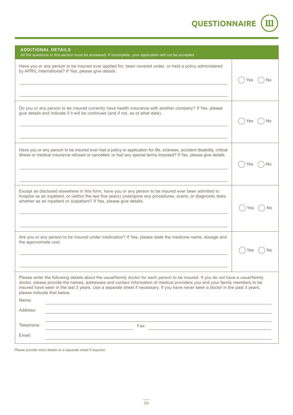**QUESTIONNAIRE** III

| <b>ADDITIONAL DETAILS</b><br>All the questions in this section must be answered. If incomplete, your application will not be accepted.                                                                                                                                                                                                                                                                                                                |           |
|-------------------------------------------------------------------------------------------------------------------------------------------------------------------------------------------------------------------------------------------------------------------------------------------------------------------------------------------------------------------------------------------------------------------------------------------------------|-----------|
| Have you or any person to be insured ever applied for, been covered under, or held a policy administered<br>by APRIL International? If Yes, please give details.                                                                                                                                                                                                                                                                                      | No<br>Yes |
| Do you or any person to be insured currently have health insurance with another company? If Yes, please<br>give details and indicate if it will be continued (and if not, as of what date).                                                                                                                                                                                                                                                           | Yes<br>N٥ |
| Have you or any person to be insured ever had a policy or application for life, sickness, accident disability, critical<br>illness or medical insurance refused or cancelled, or had any special terms imposed? If Yes, please give details.                                                                                                                                                                                                          | Yes<br>No |
| Except as disclosed elsewhere in this form, have you or any person to be insured ever been admitted to<br>hospital as an inpatient, or (within the last five years) undergone any procedures, scans, or diagnostic tests<br>whether as an inpatient or outpatient? If Yes, please give details.                                                                                                                                                       |           |
| Are you or any person to be insured under medication? If Yes, please state the medicine name, dosage and<br>the approximate cost.                                                                                                                                                                                                                                                                                                                     |           |
| Please enter the following details about the usual/family doctor for each person to be insured. If you do not have a usual/family<br>doctor, please provide the names, addresses and contact information of medical providers you and your family members to be<br>insured have seen in the last 3 years. Use a separate sheet if necessary. If you have never seen a doctor in the past 3 years,<br>please indicate that below.<br>Name:<br>Address: |           |
| Telephone:<br>Fax:                                                                                                                                                                                                                                                                                                                                                                                                                                    |           |
| Email:                                                                                                                                                                                                                                                                                                                                                                                                                                                |           |

*Please provide more details on a separate sheet if required.*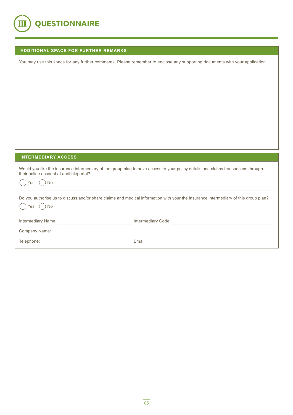

| <b>ADDITIONAL SPACE FOR FURTHER REMARKS</b> |  |  |  |
|---------------------------------------------|--|--|--|
|                                             |  |  |  |

You may use this space for any further comments. Please remember to enclose any supporting documents with your application.

### **INTERMEDIARY ACCESS**

| their online account at april.hk/portal?<br><b>No</b><br>res ( | Would you like the insurance intermediary of the group plan to have access to your policy details and claims transactions through   |
|----------------------------------------------------------------|-------------------------------------------------------------------------------------------------------------------------------------|
| <b>No</b><br>Yes                                               | Do you authorise us to discuss and/or share claims and medical information with your the insurance intermediary of this group plan? |
| Intermediary Name:                                             | Intermediary Code:                                                                                                                  |
| Company Name:                                                  |                                                                                                                                     |
| Telephone:                                                     | Email:                                                                                                                              |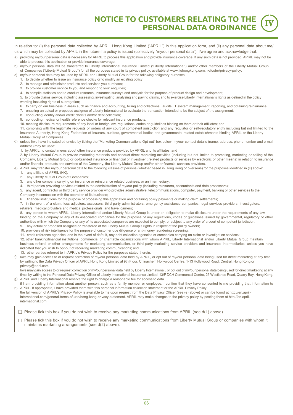**NOTICE TO CUSTOMERS RELATING TO THE PERSONAL DATA ORDINANCE** 

In relation to: (i) the personal data collected by APRIL Hong Kong Limited ("APRIL") in this application form, and (ii) any personal data about me/ us which may be collected by APRIL in the future if a policy is issued (collectively "my/our personal data"), I/we agree and acknowledge that:

- a) providing my/our personal data is necessary for APRIL to process this application and provide insurance coverage. If any such data is not provided, APRIL may not be able to process this application or provide insurance coverage.
- b) my/our personal data will be transferred to Liberty International Insurance Limited ("Liberty International") and/or other members of the Liberty Mutual Group of Companies ("Liberty Mutual Group") for all the purposes stated in its privacy policy, available at www.liuhongkong.com.hk/footer/privacy-policy.
- c) my/our personal data may be used by APRIL and Liberty Mutual Group for the following obligatory purposes:
	- 1. to decide whether to issue an insurance policy or to modify an existing policy;
	- 2. to manage and administer products and services you purchase;
	- 3. to provide customer service to you and respond to your enquiries;
	- 4. to compile statistics and to conduct research, insurance surveys and analysis for the purpose of product design and development;
	- 5. to provide claims service, including assessing, investigating, analysing and paying claims, and to exercise Liberty International's rights as defined in the policy wording including rights of subrogation;
	- 6. to carry on our business in areas such as finance and accounting, billing and collections, audits, IT system management, reporting, and obtaining reinsurance;
	- 7. enabling an actual or proposed assignee of Liberty International to evaluate the transaction intended to be the subject of the assignment;
	- 8. conducting identity and/or credit checks and/or debt collection;
	- 9. conducting medical or health reference checks for relevant insurance products;
	- 10. meeting disclosure requirements of any local or foreign law, regulations, codes or guidelines binding on them or their affiliates; and

11. complying with the legitimate requests or orders of any court of competent jurisdiction and any regulator or self-regulatory entity including but not limited to the Insurance Authority, Hong Kong Federation of Insurers, auditors, governmental bodies and governmental-related establishments binding APRIL or the Liberty Mutual Group of Companies.

- d) unless I/we have indicated otherwise by ticking the "Marketing Communications Opt-out" box below, my/our contact details (name, address, phone number and e-mail address) may be used:
	- 1. by APRIL, to contact me/us about other insurance products provided by APRIL and its affiliates; and

2. by Liberty Mutual Group to provide marketing materials and conduct direct marketing activities (including but not limited to promoting, marketing or selling of the Company, Liberty Mutual Group or co-branded insurance or financial or investment related products or services by electronic or other means) in relation to insurance and/or financial products and services of the Company, the Liberty Mutual Group and/or other financial services providers.

- e) APRIL may transfer my/our personal data to the following classes of persons (whether based in Hong Kong or overseas) for the purposes identified in (c) above: 1. any affiliate of APRIL (HK);
	- 2. any Liberty Mutual Group of Companies;

g)

- 3. any other company carrying on insurance or reinsurance related business, or an intermediary;
- 4. third parties providing services related to the administration of my/our policy (including reinsurers, accountants and data processors);
- 5. any agent, contractor or third party service provider who provides administrative, telecommunications, computer, payment, banking or other services to the Company in connection with the operation of its business;
- 6. financial institutions for the purpose of processing this application and obtaining policy payments or making claim settlements;
- 7. in the event of a claim, loss adjustors, assessors, third party administrators, emergency assistance companies, legal services providers, investigators,
- retailers, medical providers and medical professionals, and travel carriers;

8. any person to whom APRIL, Liberty International and/or Liberty Mutual Group is under an obligation to make disclosure under the requirements of any law binding on the Company or any of its associated companies for the purposes of any regulations, codes or guidelines issued by governmental, regulatory or other authorities with which the Company or any of its associated companies are expected to comply, or subject to any order of a court of competent jurisdiction;

- 9. any actual or proposed assignee or transferee of the Liberty Mutual Group's rights in respect of the policy owners;
- 10. providers of risk intelligence for the purpose of customer due diligence or anti-money laundering screening;
- 11. credit reference agencies, and in the event of default, any debt collection agencies or companies carrying on claim or investigation services;

12. other banking/financial institutions, commercial or charitable organizations with whom APRIL, Liberty International and/or Liberty Mutual Group maintain business referral or other arrangements for marketing communication, or third party marketing service providers and insurance intermediaries, unless you have indicated that you wish to opt-out of receiving marketing communications; and

13. other parties referred to in APRIL's Privacy Policy for the purposes stated therein.

f) I/we may gain access to or request correction of my/our personal data held by APRIL, or opt out of my/our personal data being used for direct marketing at any time, by writing to the Data Privacy Officer of APRIL Hong Kong Limited at 9th Floor, Chinachem Hollywood Centre, 1-13 Hollywood Road, Central, Hong Kong or privacy@april.com.

I/we may gain access to or request correction of my/our personal data held by Liberty International, or opt out of my/our personal data being used for direct marketing at any time, by writing to the Personal Data Privacy Officer of Liberty International Insurance Limited, 13/F DCH Commercial Centre, 25 Westlands Road, Quarry Bay, Hong Kong. APRIL and Liberty International reserve the right to charge a reasonable fee for access to data.

- h) if I am providing information about another person, such as a family member or employee, I confirm that they have consented to me providing that information to APRIL. If appropriate, I have provided them with this personal information collection statement or the APRIL Privacy Policy.
- the full version of APRIL's Privacy Policy is available to me upon request from the Data Privacy Officer (see (e) above) or can be found at http://en.aprilinternational.com/general-terms-of-use/hong-kong-privacy-statement. APRIL may make changes to the privacy policy by posting them at http://en.aprilinternational.com.

 $\Box$  Please tick this box if you do not wish to receive any marketing communications from APRIL (see d(1) above)

□ Please tick this box if you do not wish to receive any marketing communications from Liberty Mutual Group or companies with whom it maintains marketing arrangements (see d(2) above).